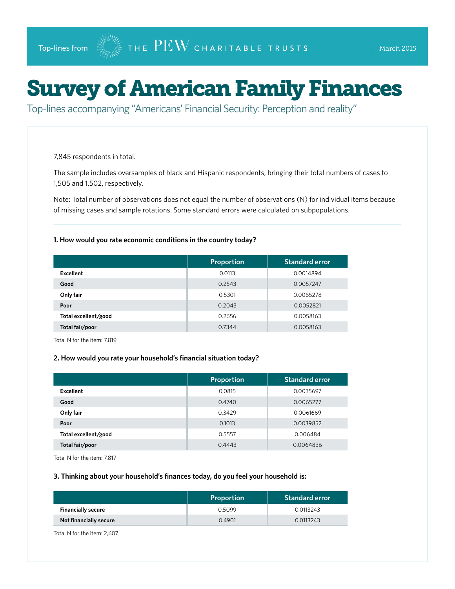# Survey of American Family Finances

Top-lines accompanying "Americans' Financial Security: Perception and reality"

7,845 respondents in total.

The sample includes oversamples of black and Hispanic respondents, bringing their total numbers of cases to 1,505 and 1,502, respectively.

Note: Total number of observations does not equal the number of observations (N) for individual items because of missing cases and sample rotations. Some standard errors were calculated on subpopulations.

#### **1. How would you rate economic conditions in the country today?**

|                      | <b>Proportion</b> | <b>Standard error</b> |
|----------------------|-------------------|-----------------------|
| <b>Excellent</b>     | 0.0113            | 0.0014894             |
| Good                 | 0.2543            | 0.0057247             |
| Only fair            | 0.5301            | 0.0065278             |
| Poor                 | 0.2043            | 0.0052821             |
| Total excellent/good | 0.2656            | 0.0058163             |
| Total fair/poor      | 0.7344            | 0.0058163             |

Total N for the item: 7,819

#### **2. How would you rate your household's financial situation today?**

|                      | <b>Proportion</b> | <b>Standard error</b> |
|----------------------|-------------------|-----------------------|
| <b>Excellent</b>     | 0.0815            | 0.0035697             |
| Good                 | 0.4740            | 0.0065277             |
| Only fair            | 0.3429            | 0.0061669             |
| Poor                 | 0.1013            | 0.0039852             |
| Total excellent/good | 0.5557            | 0.006484              |
| Total fair/poor      | 0.4443            | 0.0064836             |

Total N for the item: 7,817

#### **3. Thinking about your household's finances today, do you feel your household is:**

|                           | <b>Proportion</b> | <b>Standard error</b> |
|---------------------------|-------------------|-----------------------|
| <b>Financially secure</b> | 0.5099            | 0.0113243             |
| Not financially secure    | 0.4901            | 0.0113243             |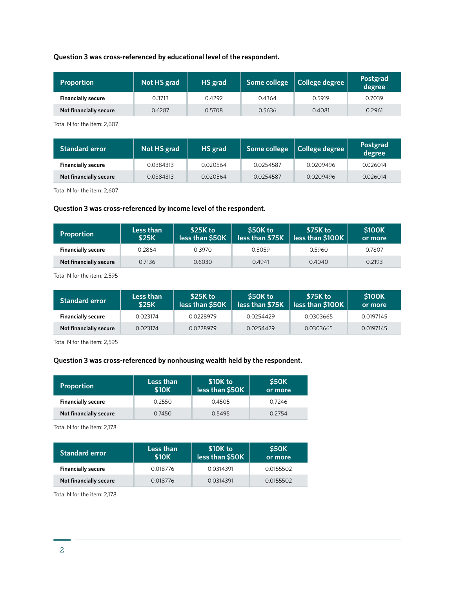# **Question 3 was cross-referenced by educational level of the respondent.**

| <b>Proportion</b>         | Not HS grad | HS grad |        | Some college   College degree | Postgrad<br>degree |
|---------------------------|-------------|---------|--------|-------------------------------|--------------------|
| <b>Financially secure</b> | 0.3713      | 0.4292  | 0.4364 | 0.5919                        | 0.7039             |
| Not financially secure    | 0.6287      | 0.5708  | 0.5636 | 0.4081                        | 0.2961             |

Total N for the item: 2,607

| <b>Standard error</b>     | Not HS grad | HS grad  |           | Some college   College degree | Postgrad<br>degree |
|---------------------------|-------------|----------|-----------|-------------------------------|--------------------|
| <b>Financially secure</b> | 0.0384313   | 0.020564 | 0.0254587 | 0.0209496                     | 0.026014           |
| Not financially secure    | 0.0384313   | 0.020564 | 0.0254587 | 0.0209496                     | 0.026014           |

Total N for the item: 2,607

# **Question 3 was cross-referenced by income level of the respondent.**

| <b>Proportion</b>         | Less than<br><b>\$25K</b> | \$25K to<br>less than \$50K | \$50K to<br>less than \$75K | \$75K to<br>$\sqrt{2}$ less than \$100K $\sqrt{2}$ | \$100K<br>or more |  |
|---------------------------|---------------------------|-----------------------------|-----------------------------|----------------------------------------------------|-------------------|--|
| <b>Financially secure</b> | 0.2864                    | 0.3970                      | 0.5059                      | 0.5960                                             | 0.7807            |  |
| Not financially secure    | 0.7136                    | 0.6030                      | 0.4941                      | 0.4040                                             | 0.2193            |  |

Total N for the item: 2,595

| Standard error <b>standard</b> | Less than<br><b>\$25K</b> | \$25K to<br>less than \$50K | \$50K to<br>less than \$75K | .\$75K to <b>\</b><br>$\vert$ less than \$100K | \$100K<br>or more |
|--------------------------------|---------------------------|-----------------------------|-----------------------------|------------------------------------------------|-------------------|
| <b>Financially secure</b>      | 0.023174                  | 0.0228979                   | 0.0254429                   | 0.0303665                                      | 0.0197145         |
| Not financially secure         | 0.023174                  | 0.0228979                   | 0.0254429                   | 0.0303665                                      | 0.0197145         |

Total N for the item: 2,595

# **Question 3 was cross-referenced by nonhousing wealth held by the respondent.**

| <b>Proportion</b>         | Less than<br><b>\$10K</b> | \$10K to<br>less than \$50K | <b>\$50K</b><br>or more |  |
|---------------------------|---------------------------|-----------------------------|-------------------------|--|
| <b>Financially secure</b> | 0.2550                    | 0.4505                      | 0.7246                  |  |
| Not financially secure    | 0.7450                    | 0.5495                      | 0.2754                  |  |

Total N for the item: 2,178

| <b>Standard error</b>     | Less than<br>\$10K | \$10K to<br>less than \$50K | <b>\$50K</b><br>or more |
|---------------------------|--------------------|-----------------------------|-------------------------|
| <b>Financially secure</b> | 0.018776           | 0.0314391                   | 0.0155502               |
| Not financially secure    | 0.018776           | 0.0314391                   | 0.0155502               |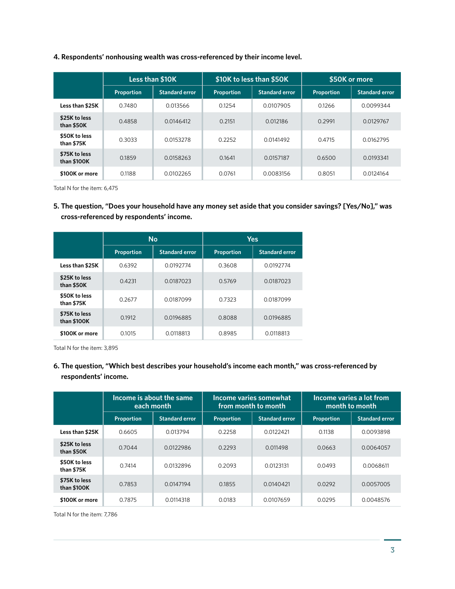# **4. Respondents' nonhousing wealth was cross-referenced by their income level.**

|                              | <b>Less than \$10K</b> |                       |            | \$10K to less than \$50K | \$50K or more |                       |
|------------------------------|------------------------|-----------------------|------------|--------------------------|---------------|-----------------------|
|                              | Proportion             | <b>Standard error</b> | Proportion | <b>Standard error</b>    | Proportion    | <b>Standard error</b> |
| Less than \$25K              | 0.7480                 | 0.013566              | 0.1254     | 0.0107905                | 0.1266        | 0.0099344             |
| \$25K to less<br>than \$50K  | 0.4858                 | 0.0146412             | 0.2151     | 0.012186                 | 0.2991        | 0.0129767             |
| \$50K to less<br>than \$75K  | 0.3033                 | 0.0153278             | 0.2252     | 0.0141492                | 0.4715        | 0.0162795             |
| \$75K to less<br>than \$100K | 0.1859                 | 0.0158263             | 0.1641     | 0.0157187                | 0.6500        | 0.0193341             |
| \$100K or more               | 0.1188                 | 0.0102265             | 0.0761     | 0.0083156                | 0.8051        | 0.0124164             |

Total N for the item: 6,475

**5. The question, "Does your household have any money set aside that you consider savings? [Yes/No]," was cross-referenced by respondents' income.**

|                              |            | <b>No</b>             |            | <b>Yes</b>            |  |  |
|------------------------------|------------|-----------------------|------------|-----------------------|--|--|
|                              | Proportion | <b>Standard error</b> | Proportion | <b>Standard error</b> |  |  |
| Less than \$25K              | 0.6392     | 0.0192774             | 0.3608     | 0.0192774             |  |  |
| \$25K to less<br>than \$50K  | 0.4231     | 0.0187023             | 0.5769     | 0.0187023             |  |  |
| \$50K to less<br>than \$75K  | 0.2677     | 0.0187099             | 0.7323     | 0.0187099             |  |  |
| \$75K to less<br>than \$100K | 0.1912     | 0.0196885             | 0.8088     | 0.0196885             |  |  |
| \$100K or more               | 0.1015     | 0.0118813             | 0.8985     | 0.0118813             |  |  |

Total N for the item: 3,895

**6. The question, "Which best describes your household's income each month," was cross-referenced by respondents' income.**

|                              | Income is about the same<br>each month |                       |            | Income varies somewhat<br>from month to month | Income varies a lot from<br>month to month |                       |
|------------------------------|----------------------------------------|-----------------------|------------|-----------------------------------------------|--------------------------------------------|-----------------------|
|                              | Proportion                             | <b>Standard error</b> | Proportion | <b>Standard error</b>                         | Proportion                                 | <b>Standard error</b> |
| Less than \$25K              | 0.6605                                 | 0.013794              | 0.2258     | 0.0122421                                     | 0.1138                                     | 0.0093898             |
| \$25K to less<br>than \$50K  | 0.7044                                 | 0.0122986             | 0.2293     | 0.011498                                      | 0.0663                                     | 0.0064057             |
| \$50K to less<br>than \$75K  | 0.7414                                 | 0.0132896             | 0.2093     | 0.0123131                                     | 0.0493                                     | 0.0068611             |
| \$75K to less<br>than \$100K | 0.7853                                 | 0.0147194             | 0.1855     | 0.0140421                                     | 0.0292                                     | 0.0057005             |
| \$100K or more               | 0.7875                                 | 0.0114318             | 0.0183     | 0.0107659                                     | 0.0295                                     | 0.0048576             |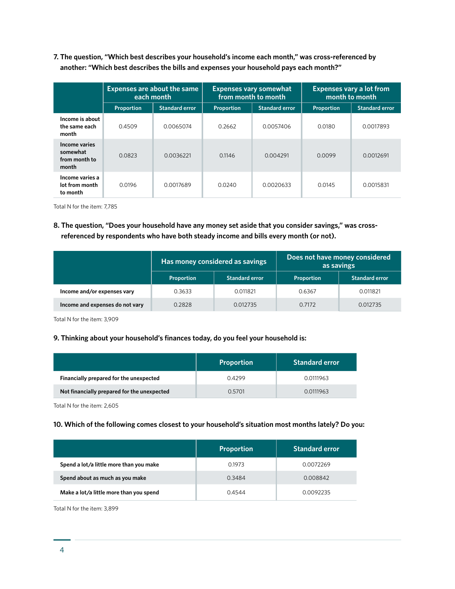**7. The question, "Which best describes your household's income each month," was cross-referenced by another: "Which best describes the bills and expenses your household pays each month?"**

|                                                     | <b>Expenses are about the same</b><br>each month |                       |            | <b>Expenses vary somewhat</b><br>from month to month | <b>Expenses vary a lot from</b><br>month to month |                       |  |
|-----------------------------------------------------|--------------------------------------------------|-----------------------|------------|------------------------------------------------------|---------------------------------------------------|-----------------------|--|
|                                                     | Proportion                                       | <b>Standard error</b> | Proportion | <b>Standard error</b>                                | Proportion                                        | <b>Standard error</b> |  |
| Income is about<br>the same each<br>month           | 0.4509                                           | 0.0065074             | 0.2662     | 0.0057406                                            | 0.0180                                            | 0.0017893             |  |
| Income varies<br>somewhat<br>from month to<br>month | 0.0823                                           | 0.0036221             | 0.1146     | 0.004291                                             | 0.0099                                            | 0.0012691             |  |
| Income varies a<br>lot from month<br>to month       | 0.0196                                           | 0.0017689             | 0.0240     | 0.0020633                                            | 0.0145                                            | 0.0015831             |  |

Total N for the item: 7,785

**8. The question, "Does your household have any money set aside that you consider savings," was crossreferenced by respondents who have both steady income and bills every month (or not).**

|                                 |            | Has money considered as savings | Does not have money considered<br>as savings |                       |  |
|---------------------------------|------------|---------------------------------|----------------------------------------------|-----------------------|--|
|                                 | Proportion | <b>Standard error</b>           | Proportion                                   | <b>Standard error</b> |  |
| Income and/or expenses vary     | 0.3633     | 0.011821                        | 0.6367                                       | 0.011821              |  |
| Income and expenses do not vary | 0.2828     | 0.012735                        | 0.7172                                       | 0.012735              |  |

Total N for the item: 3,909

# **9. Thinking about your household's finances today, do you feel your household is:**

|                                             | <b>Proportion</b> | <b>Standard error</b> |
|---------------------------------------------|-------------------|-----------------------|
| Financially prepared for the unexpected     | 0.4299            | 0.0111963             |
| Not financially prepared for the unexpected | 0.5701            | 0.0111963             |

Total N for the item: 2,605

# **10. Which of the following comes closest to your household's situation most months lately? Do you:**

|                                         | <b>Proportion</b> | <b>Standard error</b> |
|-----------------------------------------|-------------------|-----------------------|
| Spend a lot/a little more than you make | 0.1973            | 0.0072269             |
| Spend about as much as you make         | 0.3484            | 0.008842              |
| Make a lot/a little more than you spend | 0.4544            | 0.0092235             |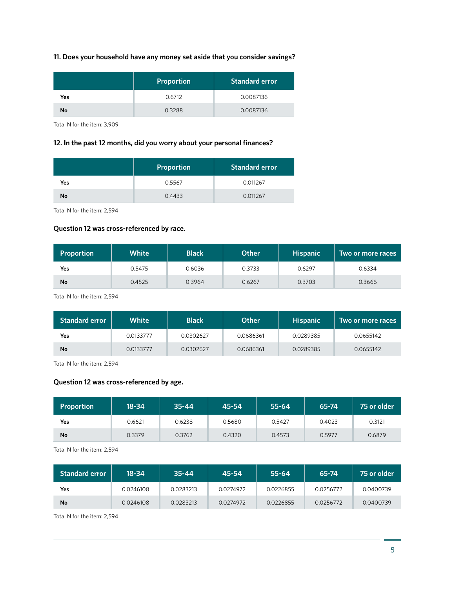# **11. Does your household have any money set aside that you consider savings?**

|     | Proportion | <b>Standard error</b> |
|-----|------------|-----------------------|
| Yes | 0.6712     | 0.0087136             |
| No  | 0.3288     | 0.0087136             |

Total N for the item: 3,909

# **12. In the past 12 months, did you worry about your personal finances?**

|     | <b>Proportion</b> | <b>Standard error</b> |
|-----|-------------------|-----------------------|
| Yes | 0.5567            | 0.011267              |
| No  | 0.4433            | 0.011267              |

Total N for the item: 2,594

### **Question 12 was cross-referenced by race.**

| Proportion | <b>White</b> | <b>Black</b> | <b>Other</b> | <b>Hispanic</b> | Two or more races |
|------------|--------------|--------------|--------------|-----------------|-------------------|
| Yes        | 0.5475       | 0.6036       | 0.3733       | 0.6297          | 0.6334            |
| No         | 0.4525       | 0.3964       | 0.6267       | 0.3703          | 0.3666            |

Total N for the item: 2,594

| <b>Standard error</b> | White     | <b>Black</b> | Other     | <b>Hispanic</b> | Two or more races |
|-----------------------|-----------|--------------|-----------|-----------------|-------------------|
| Yes                   | 0.0133777 | 0.0302627    | 0.0686361 | 0.0289385       | 0.0655142         |
| <b>No</b>             | 0.0133777 | 0.0302627    | 0.0686361 | 0.0289385       | 0.0655142         |

Total N for the item: 2,594

# **Question 12 was cross-referenced by age.**

| Proportion | $18 - 34$ | $35 - 44$ | 45-54  | 55-64  | 65-74  | 75 or older |
|------------|-----------|-----------|--------|--------|--------|-------------|
| Yes        | 0.6621    | 0.6238    | 0.5680 | 0.5427 | 0.4023 | 0.3121      |
| No         | 0.3379    | 0.3762    | 0.4320 | 0.4573 | 0.5977 | 0.6879      |

Total N for the item: 2,594

| <b>Standard error</b> | 18-34     | $35 - 44$ | 45-54     | 55-64     | 65-74     | 75 or older |
|-----------------------|-----------|-----------|-----------|-----------|-----------|-------------|
| Yes                   | 0.0246108 | 0.0283213 | 0.0274972 | 0.0226855 | 0.0256772 | 0.0400739   |
| No                    | 0.0246108 | 0.0283213 | 0.0274972 | 0.0226855 | 0.0256772 | 0.0400739   |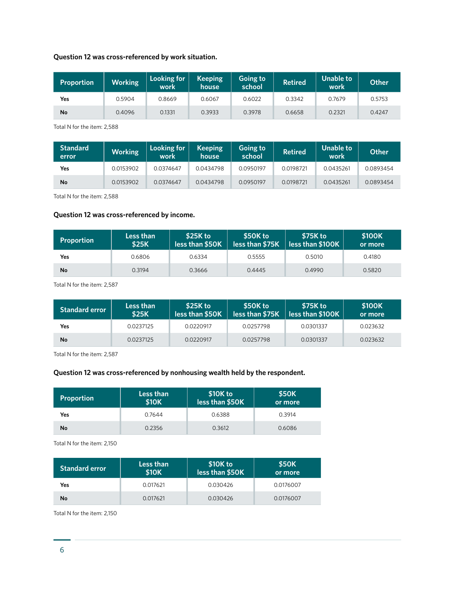# **Question 12 was cross-referenced by work situation.**

| <b>Proportion</b> | <b>Working</b> | Looking for<br>work | <b>Keeping</b><br>house | Going to<br>school | <b>Retired</b> | Unable to<br>work | <b>Other</b> |
|-------------------|----------------|---------------------|-------------------------|--------------------|----------------|-------------------|--------------|
| Yes               | 0.5904         | 0.8669              | 0.6067                  | 0.6022             | 0.3342         | 0.7679            | 0.5753       |
| No                | 0.4096         | 0.1331              | 0.3933                  | 0.3978             | 0.6658         | 0.2321            | 0.4247       |

Total N for the item: 2,588

| <b>Standard</b><br>error | <b>Working</b> | Looking for<br>work | <b>Keeping</b><br>house | Going to<br>school | <b>Retired</b> | Unable to<br>work | <b>Other</b> |
|--------------------------|----------------|---------------------|-------------------------|--------------------|----------------|-------------------|--------------|
| Yes                      | 0.0153902      | 0.0374647           | 0.0434798               | 0.0950197          | 0.0198721      | 0.0435261         | 0.0893454    |
| No                       | 0.0153902      | 0.0374647           | 0.0434798               | 0.0950197          | 0.0198721      | 0.0435261         | 0.0893454    |

Total N for the item: 2,588

# **Question 12 was cross-referenced by income.**

| <b>Proportion</b> | Less than<br><b>\$25K</b> | \$25K to<br>less than \$50K | \$50K to<br>less than \$75K | \$75K to<br>less than \$100K | \$100K<br>or more |
|-------------------|---------------------------|-----------------------------|-----------------------------|------------------------------|-------------------|
| Yes               | 0.6806                    | 0.6334                      | 0.5555                      | 0.5010                       | 0.4180            |
| No                | 0.3194                    | 0.3666                      | 0.4445                      | 0.4990                       | 0.5820            |

Total N for the item: 2,587

| <b>Standard error</b> | Less than<br>\$25K | \$25K to<br>less than \$50K | \$50K to<br>less than \$75K | \$75K to<br>less than \$100K | \$100K<br>or more |
|-----------------------|--------------------|-----------------------------|-----------------------------|------------------------------|-------------------|
| Yes                   | 0.0237125          | 0.0220917                   | 0.0257798                   | 0.0301337                    | 0.023632          |
| No                    | 0.0237125          | 0.0220917                   | 0.0257798                   | 0.0301337                    | 0.023632          |

Total N for the item: 2,587

# **Question 12 was cross-referenced by nonhousing wealth held by the respondent.**

| <b>Proportion</b> | Less than<br>\$10K | \$10K to<br>less than \$50K | \$50K<br>or more |
|-------------------|--------------------|-----------------------------|------------------|
| Yes               | 0.7644             | 0.6388                      | 0.3914           |
| No                | 0.2356             | 0.3612                      | 0.6086           |

Total N for the item: 2,150

| <b>Standard error</b> | Less than<br>\$10K | \$10K to<br>less than \$50K | \$50K<br>or more |
|-----------------------|--------------------|-----------------------------|------------------|
| Yes                   | 0.017621           | 0.030426                    | 0.0176007        |
| No                    | 0.017621           | 0.030426                    | 0.0176007        |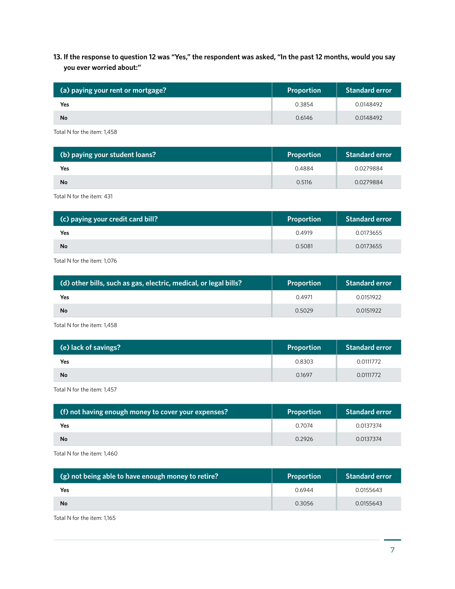# **13. If the response to question 12 was "Yes," the respondent was asked, "In the past 12 months, would you say you ever worried about:"**

| (a) paying your rent or mortgage? | Proportion | <b>Standard error</b> |
|-----------------------------------|------------|-----------------------|
| Yes                               | 0.3854     | 0.0148492             |
| <b>No</b>                         | 0.6146     | 0.0148492             |

Total N for the item: 1,458

| (b) paying your student loans? | Proportion | <b>Standard error</b> |
|--------------------------------|------------|-----------------------|
| Yes                            | 0.4884     | 0.0279884             |
| <b>No</b>                      | 0.5116     | 0.0279884             |

Total N for the item: 431

| (c) paying your credit card bill? | Proportion | <b>Standard error</b> |
|-----------------------------------|------------|-----------------------|
| <b>Yes</b>                        | 0.4919     | 0.0173655             |
| No                                | 0.5081     | 0.0173655             |

Total N for the item: 1,076

| (d) other bills, such as gas, electric, medical, or legal bills? | <b>Proportion</b> | <b>Standard error</b> |
|------------------------------------------------------------------|-------------------|-----------------------|
| <b>Yes</b>                                                       | 0.4971            | 0.0151922             |
| <b>No</b>                                                        | 0.5029            | 0.0151922             |

Total N for the item: 1,458

| (e) lack of savings? | Proportion | <b>Standard error</b> |
|----------------------|------------|-----------------------|
| Yes                  | 0.8303     | 0.0111772             |
| <b>No</b>            | 0.1697     | 0.0111772             |

Total N for the item: 1,457

| (f) not having enough money to cover your expenses? | <b>Proportion</b> | <b>Standard error</b> |
|-----------------------------------------------------|-------------------|-----------------------|
| Yes                                                 | 0.7074            | 0.0137374             |
| No                                                  | 0.2926            | 0.0137374             |
|                                                     |                   |                       |

Total N for the item: 1,460

| 0.6944<br>0.0155643<br>Yes | (g) not being able to have enough money to retire? | <b>Proportion</b> | <b>Standard error</b> |
|----------------------------|----------------------------------------------------|-------------------|-----------------------|
|                            |                                                    |                   |                       |
| No<br>0.3056<br>0.0155643  |                                                    |                   |                       |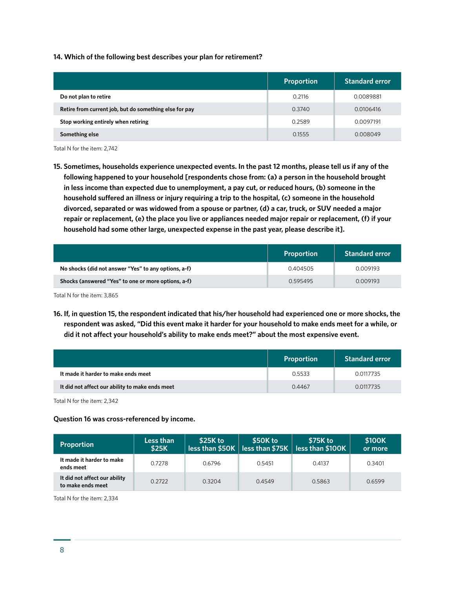#### **14. Which of the following best describes your plan for retirement?**

|                                                        | <b>Proportion</b> | <b>Standard error</b> |
|--------------------------------------------------------|-------------------|-----------------------|
| Do not plan to retire                                  | 0.2116            | 0.0089881             |
| Retire from current job, but do something else for pay | 0.3740            | 0.0106416             |
| Stop working entirely when retiring                    | 0.2589            | 0.0097191             |
| Something else                                         | 0.1555            | 0.008049              |

Total N for the item: 2,742

**15. Sometimes, households experience unexpected events. In the past 12 months, please tell us if any of the following happened to your household [respondents chose from: (a) a person in the household brought in less income than expected due to unemployment, a pay cut, or reduced hours, (b) someone in the household suffered an illness or injury requiring a trip to the hospital, (c) someone in the household divorced, separated or was widowed from a spouse or partner, (d) a car, truck, or SUV needed a major repair or replacement, (e) the place you live or appliances needed major repair or replacement, (f) if your household had some other large, unexpected expense in the past year, please describe it].**

|                                                      | <b>Proportion</b> | <b>Standard error</b> |
|------------------------------------------------------|-------------------|-----------------------|
| No shocks (did not answer "Yes" to any options, a-f) | 0.404505          | 0.009193              |
| Shocks (answered "Yes" to one or more options, a-f)  | 0.595495          | 0.009193              |

Total N for the item: 3,865

**16. If, in question 15, the respondent indicated that his/her household had experienced one or more shocks, the respondent was asked, "Did this event make it harder for your household to make ends meet for a while, or did it not affect your household's ability to make ends meet?" about the most expensive event.**

|                                                 | Proportion | <b>Standard error</b> |
|-------------------------------------------------|------------|-----------------------|
| It made it harder to make ends meet             | 0.5533     | 0.0117735             |
| It did not affect our ability to make ends meet | 0.4467     | 0.0117735             |

Total N for the item: 2,342

#### **Question 16 was cross-referenced by income.**

| <b>Proportion</b>                                  | Less than<br><b>\$25K</b> | \$25K to<br>less than $$50K$ | \$50K to<br>less than $$75K$ | \$75K to<br>less than \$100K | \$100K<br>or more |
|----------------------------------------------------|---------------------------|------------------------------|------------------------------|------------------------------|-------------------|
| It made it harder to make<br>ends meet             | 0.7278                    | 0.6796                       | 0.5451                       | 0.4137                       | 0.3401            |
| It did not affect our ability<br>to make ends meet | 0.2722                    | 0.3204                       | 0.4549                       | 0.5863                       | 0.6599            |